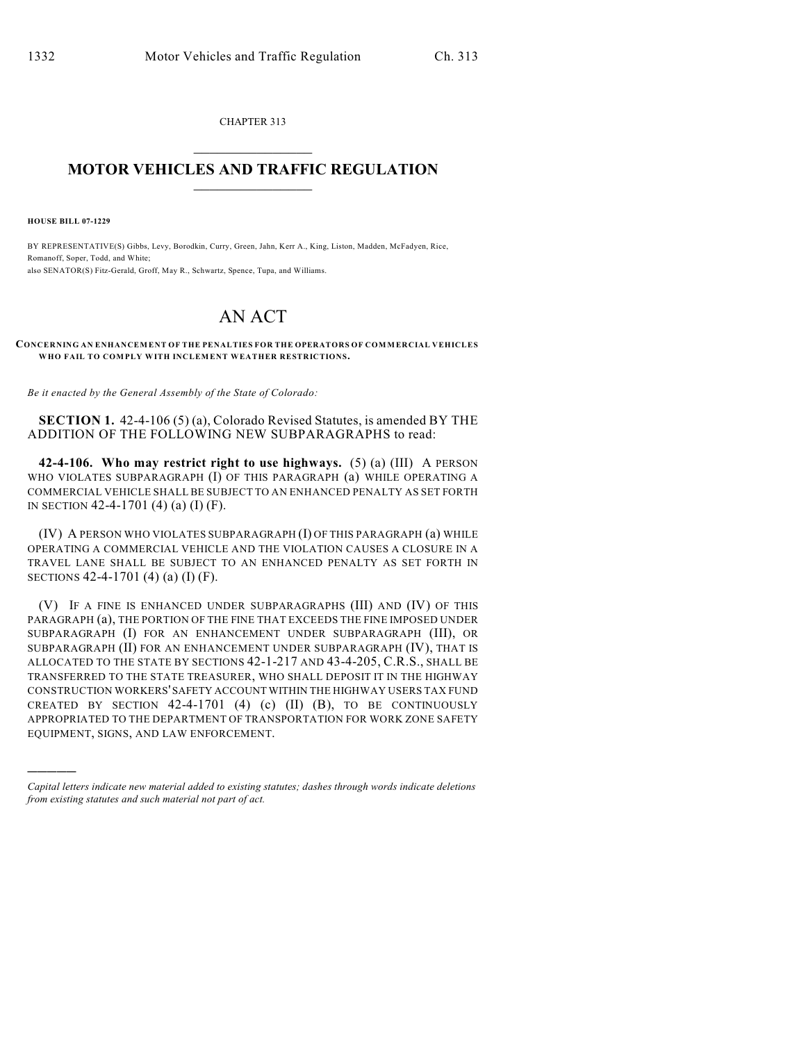CHAPTER 313  $\mathcal{L}_\text{max}$  . The set of the set of the set of the set of the set of the set of the set of the set of the set of the set of the set of the set of the set of the set of the set of the set of the set of the set of the set

## **MOTOR VEHICLES AND TRAFFIC REGULATION**  $\frac{1}{2}$  ,  $\frac{1}{2}$  ,  $\frac{1}{2}$  ,  $\frac{1}{2}$  ,  $\frac{1}{2}$  ,  $\frac{1}{2}$  ,  $\frac{1}{2}$  ,  $\frac{1}{2}$

**HOUSE BILL 07-1229**

)))))

BY REPRESENTATIVE(S) Gibbs, Levy, Borodkin, Curry, Green, Jahn, Kerr A., King, Liston, Madden, McFadyen, Rice, Romanoff, Soper, Todd, and White; also SENATOR(S) Fitz-Gerald, Groff, May R., Schwartz, Spence, Tupa, and Williams.

## AN ACT

## **CONCERNING AN ENHANCEMENT OF THE PENALTIES FOR THE OPERATORS OF COMMERCIAL VEHICLES WHO FAIL TO COMPLY WITH INCLEMENT WEATHER RESTRICTIONS.**

*Be it enacted by the General Assembly of the State of Colorado:*

**SECTION 1.** 42-4-106 (5) (a), Colorado Revised Statutes, is amended BY THE ADDITION OF THE FOLLOWING NEW SUBPARAGRAPHS to read:

**42-4-106. Who may restrict right to use highways.** (5) (a) (III) A PERSON WHO VIOLATES SUBPARAGRAPH (I) OF THIS PARAGRAPH (a) WHILE OPERATING A COMMERCIAL VEHICLE SHALL BE SUBJECT TO AN ENHANCED PENALTY AS SET FORTH IN SECTION 42-4-1701 (4) (a) (I) (F).

(IV) A PERSON WHO VIOLATES SUBPARAGRAPH (I) OF THIS PARAGRAPH (a) WHILE OPERATING A COMMERCIAL VEHICLE AND THE VIOLATION CAUSES A CLOSURE IN A TRAVEL LANE SHALL BE SUBJECT TO AN ENHANCED PENALTY AS SET FORTH IN SECTIONS 42-4-1701 (4) (a) (I) (F).

(V) IF A FINE IS ENHANCED UNDER SUBPARAGRAPHS (III) AND (IV) OF THIS PARAGRAPH (a), THE PORTION OF THE FINE THAT EXCEEDS THE FINE IMPOSED UNDER SUBPARAGRAPH (I) FOR AN ENHANCEMENT UNDER SUBPARAGRAPH (III), OR SUBPARAGRAPH (II) FOR AN ENHANCEMENT UNDER SUBPARAGRAPH (IV), THAT IS ALLOCATED TO THE STATE BY SECTIONS 42-1-217 AND 43-4-205, C.R.S., SHALL BE TRANSFERRED TO THE STATE TREASURER, WHO SHALL DEPOSIT IT IN THE HIGHWAY CONSTRUCTION WORKERS' SAFETY ACCOUNT WITHIN THE HIGHWAY USERS TAX FUND CREATED BY SECTION  $42-4-1701$  (4) (c) (II) (B), TO BE CONTINUOUSLY APPROPRIATED TO THE DEPARTMENT OF TRANSPORTATION FOR WORK ZONE SAFETY EQUIPMENT, SIGNS, AND LAW ENFORCEMENT.

*Capital letters indicate new material added to existing statutes; dashes through words indicate deletions from existing statutes and such material not part of act.*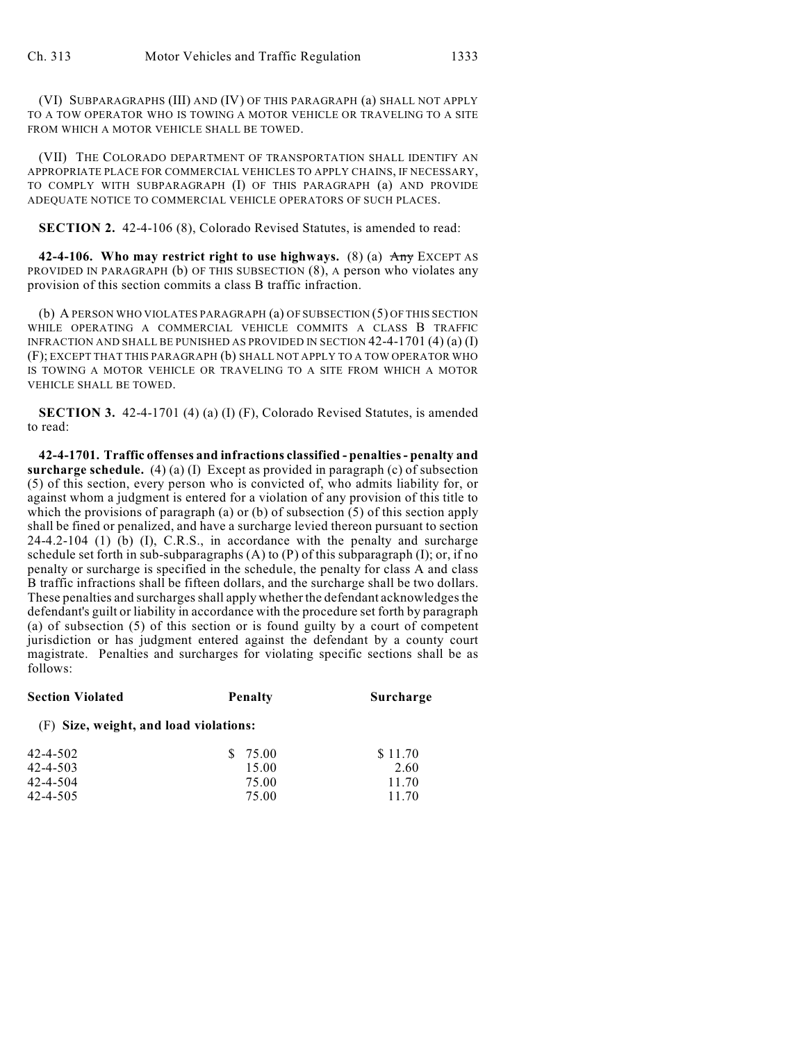(VI) SUBPARAGRAPHS (III) AND (IV) OF THIS PARAGRAPH (a) SHALL NOT APPLY TO A TOW OPERATOR WHO IS TOWING A MOTOR VEHICLE OR TRAVELING TO A SITE FROM WHICH A MOTOR VEHICLE SHALL BE TOWED.

(VII) THE COLORADO DEPARTMENT OF TRANSPORTATION SHALL IDENTIFY AN APPROPRIATE PLACE FOR COMMERCIAL VEHICLES TO APPLY CHAINS, IF NECESSARY, TO COMPLY WITH SUBPARAGRAPH (I) OF THIS PARAGRAPH (a) AND PROVIDE ADEQUATE NOTICE TO COMMERCIAL VEHICLE OPERATORS OF SUCH PLACES.

**SECTION 2.** 42-4-106 (8), Colorado Revised Statutes, is amended to read:

**42-4-106.** Who may restrict right to use highways. (8) (a)  $\overrightarrow{Any}$  EXCEPT AS PROVIDED IN PARAGRAPH (b) OF THIS SUBSECTION (8), A person who violates any provision of this section commits a class B traffic infraction.

(b) A PERSON WHO VIOLATES PARAGRAPH (a) OF SUBSECTION (5) OF THIS SECTION WHILE OPERATING A COMMERCIAL VEHICLE COMMITS A CLASS B TRAFFIC INFRACTION AND SHALL BE PUNISHED AS PROVIDED IN SECTION 42-4-1701 (4) (a) (I) (F); EXCEPT THAT THIS PARAGRAPH (b) SHALL NOT APPLY TO A TOW OPERATOR WHO IS TOWING A MOTOR VEHICLE OR TRAVELING TO A SITE FROM WHICH A MOTOR VEHICLE SHALL BE TOWED.

**SECTION 3.** 42-4-1701 (4) (a) (I) (F), Colorado Revised Statutes, is amended to read:

**42-4-1701. Traffic offenses and infractions classified - penalties - penalty and surcharge schedule.** (4) (a) (I) Except as provided in paragraph (c) of subsection (5) of this section, every person who is convicted of, who admits liability for, or against whom a judgment is entered for a violation of any provision of this title to which the provisions of paragraph (a) or (b) of subsection (5) of this section apply shall be fined or penalized, and have a surcharge levied thereon pursuant to section 24-4.2-104 (1) (b) (I), C.R.S., in accordance with the penalty and surcharge schedule set forth in sub-subparagraphs  $(A)$  to  $(P)$  of this subparagraph  $(I)$ ; or, if no penalty or surcharge is specified in the schedule, the penalty for class A and class B traffic infractions shall be fifteen dollars, and the surcharge shall be two dollars. These penalties and surcharges shall apply whether the defendant acknowledges the defendant's guilt or liability in accordance with the procedure set forth by paragraph (a) of subsection (5) of this section or is found guilty by a court of competent jurisdiction or has judgment entered against the defendant by a county court magistrate. Penalties and surcharges for violating specific sections shall be as follows:

| <b>Section Violated</b>                | <b>Penalty</b> | Surcharge |  |  |  |  |
|----------------------------------------|----------------|-----------|--|--|--|--|
| (F) Size, weight, and load violations: |                |           |  |  |  |  |
| $42 - 4 - 502$                         | \$ 75.00       | \$11.70   |  |  |  |  |
| $42 - 4 - 503$                         | 15.00          | 2.60      |  |  |  |  |
| 42-4-504                               | 75.00          | 11.70     |  |  |  |  |
| $42 - 4 - 505$                         | 75.00          | 11.70     |  |  |  |  |